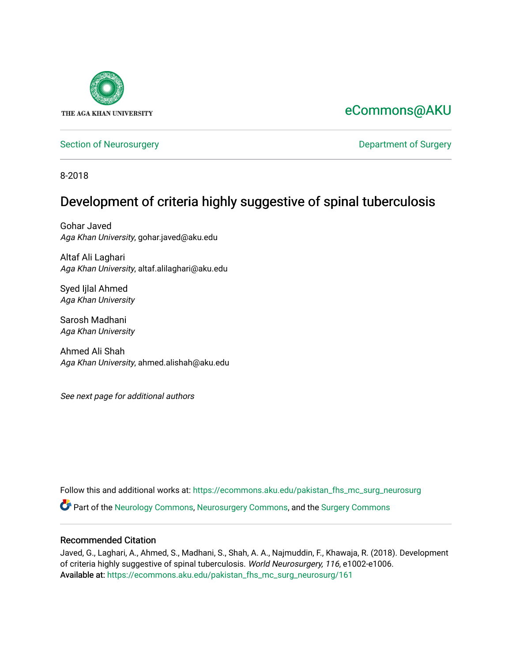

# [eCommons@AKU](https://ecommons.aku.edu/)

[Section of Neurosurgery](https://ecommons.aku.edu/pakistan_fhs_mc_surg_neurosurg) **Department of Surgery** Department of Surgery

8-2018

# Development of criteria highly suggestive of spinal tuberculosis

Gohar Javed Aga Khan University, gohar.javed@aku.edu

Altaf Ali Laghari Aga Khan University, altaf.alilaghari@aku.edu

Syed Ijlal Ahmed Aga Khan University

Sarosh Madhani Aga Khan University

Ahmed Ali Shah Aga Khan University, ahmed.alishah@aku.edu

See next page for additional authors

Follow this and additional works at: [https://ecommons.aku.edu/pakistan\\_fhs\\_mc\\_surg\\_neurosurg](https://ecommons.aku.edu/pakistan_fhs_mc_surg_neurosurg?utm_source=ecommons.aku.edu%2Fpakistan_fhs_mc_surg_neurosurg%2F161&utm_medium=PDF&utm_campaign=PDFCoverPages) 

Part of the [Neurology Commons](http://network.bepress.com/hgg/discipline/692?utm_source=ecommons.aku.edu%2Fpakistan_fhs_mc_surg_neurosurg%2F161&utm_medium=PDF&utm_campaign=PDFCoverPages), [Neurosurgery Commons](http://network.bepress.com/hgg/discipline/1428?utm_source=ecommons.aku.edu%2Fpakistan_fhs_mc_surg_neurosurg%2F161&utm_medium=PDF&utm_campaign=PDFCoverPages), and the [Surgery Commons](http://network.bepress.com/hgg/discipline/706?utm_source=ecommons.aku.edu%2Fpakistan_fhs_mc_surg_neurosurg%2F161&utm_medium=PDF&utm_campaign=PDFCoverPages) 

# Recommended Citation

Javed, G., Laghari, A., Ahmed, S., Madhani, S., Shah, A. A., Najmuddin, F., Khawaja, R. (2018). Development of criteria highly suggestive of spinal tuberculosis. World Neurosurgery, 116, e1002-e1006. Available at: [https://ecommons.aku.edu/pakistan\\_fhs\\_mc\\_surg\\_neurosurg/161](https://ecommons.aku.edu/pakistan_fhs_mc_surg_neurosurg/161)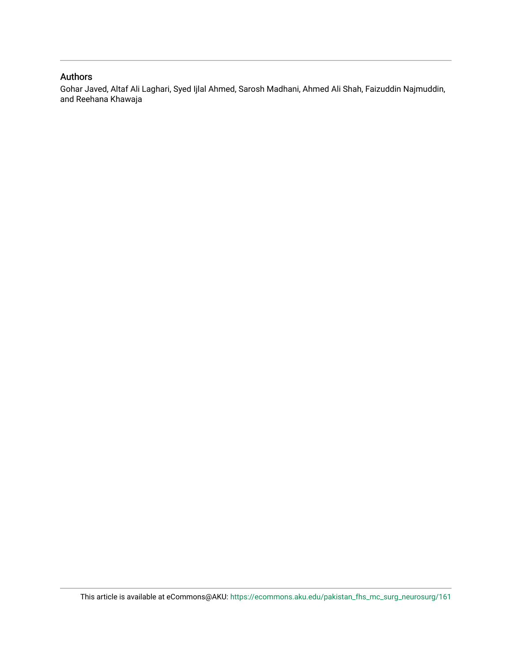# Authors

Gohar Javed, Altaf Ali Laghari, Syed Ijlal Ahmed, Sarosh Madhani, Ahmed Ali Shah, Faizuddin Najmuddin, and Reehana Khawaja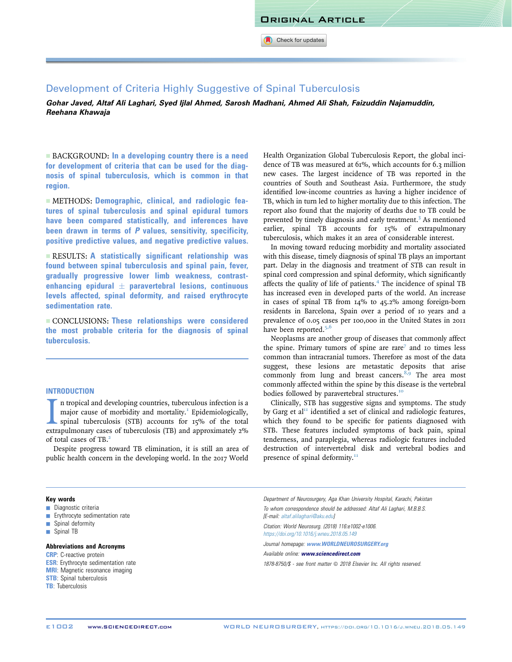Check for updates

Development of Criteria Highly Suggestive of Spinal Tuberculosis Gohar Javed, Altaf Ali Laghari, Syed Ijlal Ahmed, Sarosh Madhani, Ahmed Ali Shah, Faizuddin Najamuddin, Reehana Khawaja

 $\blacksquare$  BACKGROUND: In a developing country there is a need for development of criteria that can be used for the diagnosis of spinal tuberculosis, which is common in that region.

- METHODS: Demographic, clinical, and radiologic features of spinal tuberculosis and spinal epidural tumors have been compared statistically, and inferences have been drawn in terms of P values, sensitivity, specificity, positive predictive values, and negative predictive values.

 $\blacksquare$  RESULTS: A statistically significant relationship was found between spinal tuberculosis and spinal pain, fever, gradually progressive lower limb weakness, contrastenhancing epidural  $\pm$  paravertebral lesions, continuous levels affected, spinal deformity, and raised erythrocyte sedimentation rate.

 $\blacksquare$  CONCLUSIONS: These relationships were considered the most probable criteria for the diagnosis of spinal tuberculosis.

# **INTRODUCTION**

I in tropical and developing countries, tuberculous infection is a major cause of morbidity and mortality.<sup>1</sup> Epidemiologically, spinal tuberculosis (STB) accounts for 15% of the total extrapulmonary cases of tuberculosis n tropical and developing countries, tuberculous infection is a major cause of morbidity and mortality.<sup>[1](#page-6-0)</sup> Epidemiologically, spinal tuberculosis (STB) accounts for 15% of the total of total cases of TB.[2](#page-6-0)

Despite progress toward TB elimination, it is still an area of public health concern in the developing world. In the 2017 World

Health Organization Global Tuberculosis Report, the global incidence of TB was measured at 61%, which accounts for 6.3 million new cases. The largest incidence of TB was reported in the countries of South and Southeast Asia. Furthermore, the study identified low-income countries as having a higher incidence of TB, which in turn led to higher mortality due to this infection. The report also found that the majority of deaths due to TB could be prevented by timely diagnosis and early treatment.<sup>[3](#page-6-0)</sup> As mentioned earlier, spinal TB accounts for 15% of extrapulmonary tuberculosis, which makes it an area of considerable interest.

In moving toward reducing morbidity and mortality associated with this disease, timely diagnosis of spinal TB plays an important part. Delay in the diagnosis and treatment of STB can result in spinal cord compression and spinal deformity, which significantly affects the quality of life of patients.<sup>[4](#page-6-0)</sup> The incidence of spinal TB has increased even in developed parts of the world. An increase in cases of spinal TB from 14% to 45.2% among foreign-born residents in Barcelona, Spain over a period of 10 years and a prevalence of 0.05 cases per 100,000 in the United States in 2011 have been reported. $5,6$ 

Neoplasms are another group of diseases that commonly affect the spine. Primary tumors of spine are rare<sup>[7](#page-6-0)</sup> and 10 times less common than intracranial tumors. Therefore as most of the data suggest, these lesions are metastatic deposits that arise commonly from lung and breast cancers. $8,9$  The area most commonly affected within the spine by this disease is the vertebral bodies followed by paravertebral structures.<sup>[10](#page-6-0)</sup>

Clinically, STB has suggestive signs and symptoms. The study by Garg et al<sup>[11](#page-6-0)</sup> identified a set of clinical and radiologic features, which they found to be specific for patients diagnosed with STB. These features included symptoms of back pain, spinal tenderness, and paraplegia, whereas radiologic features included destruction of intervertebral disk and vertebral bodies and presence of spinal deformity.<sup>11</sup>

### Key words

- **Diagnostic criteria**
- **Erythrocyte sedimentation rate**
- $\blacksquare$  Spinal deformity
- **B** Spinal TB

#### Abbreviations and Acronyms

- CRP: C-reactive protein **ESR:** Erythrocyte sedimentation rate **MRI:** Magnetic resonance imaging **STB**: Spinal tuberculosis
- TB: Tuberculosis

Department of Neurosurgery, Aga Khan University Hospital, Karachi, Pakistan To whom correspondence should be addressed: Altaf Ali Laghari, M.B.B.S. [E-mail: [altaf.alilaghari@aku.edu\]](mailto:altaf.alilaghari@aku.edu)

Citation: World Neurosurg. (2018) 116:e1002-e1006. <https://doi.org/10.1016/j.wneu.2018.05.149>

Journal homepage: [www.WORLDNEUROSURGERY.org](http://www.WORLDNEUROSURGERY.org)

Available online: [www.sciencedirect.com](www.sciencedirect.com/science/journal/18788750)

1878-8750/\$ - see front matter @ 2018 Elsevier Inc. All rights reserved.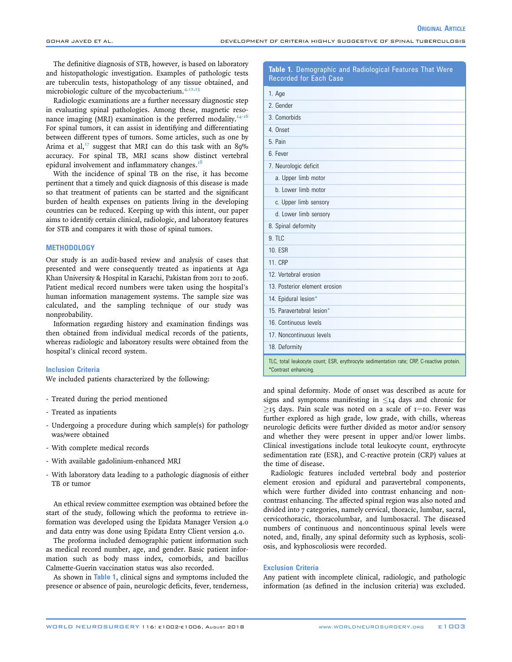The definitive diagnosis of STB, however, is based on laboratory and histopathologic investigation. Examples of pathologic tests are tuberculin tests, histopathology of any tissue obtained, and microbiologic culture of the mycobacterium.<sup>[4,12,13](#page-6-0)</sup>

Radiologic examinations are a further necessary diagnostic step in evaluating spinal pathologies. Among these, magnetic reso-nance imaging (MRI) examination is the preferred modality.<sup>[14-16](#page-6-0)</sup> For spinal tumors, it can assist in identifying and differentiating between different types of tumors. Some articles, such as one by Arima et al, $^{17}$  $^{17}$  $^{17}$  suggest that MRI can do this task with an 89% accuracy. For spinal TB, MRI scans show distinct vertebral epidural involvement and inflammatory changes.<sup>[18](#page-6-0)</sup>

With the incidence of spinal TB on the rise, it has become pertinent that a timely and quick diagnosis of this disease is made so that treatment of patients can be started and the significant burden of health expenses on patients living in the developing countries can be reduced. Keeping up with this intent, our paper aims to identify certain clinical, radiologic, and laboratory features for STB and compares it with those of spinal tumors.

# **METHODOLOGY**

Our study is an audit-based review and analysis of cases that presented and were consequently treated as inpatients at Aga Khan University & Hospital in Karachi, Pakistan from 2011 to 2016. Patient medical record numbers were taken using the hospital's human information management systems. The sample size was calculated, and the sampling technique of our study was nonprobability.

Information regarding history and examination findings was then obtained from individual medical records of the patients, whereas radiologic and laboratory results were obtained from the hospital's clinical record system.

#### Inclusion Criteria

We included patients characterized by the following:

- Treated during the period mentioned
- Treated as inpatients
- Undergoing a procedure during which sample(s) for pathology was/were obtained
- With complete medical records
- With available gadolinium-enhanced MRI
- With laboratory data leading to a pathologic diagnosis of either TB or tumor

An ethical review committee exemption was obtained before the start of the study, following which the proforma to retrieve information was developed using the Epidata Manager Version 4.0 and data entry was done using Epidata Entry Client version 4.0.

The proforma included demographic patient information such as medical record number, age, and gender. Basic patient information such as body mass index, comorbids, and bacillus Calmette-Guerin vaccination status was also recorded.

As shown in Table 1, clinical signs and symptoms included the presence or absence of pain, neurologic deficits, fever, tenderness,

# Table 1. Demographic and Radiological Features That Were Recorded for Each Case

**ORIGINAL ARTICLE** 

| 1. Age                                                                                                            |  |  |  |  |
|-------------------------------------------------------------------------------------------------------------------|--|--|--|--|
| 2. Gender                                                                                                         |  |  |  |  |
| 3. Comorbids                                                                                                      |  |  |  |  |
| 4. Onset                                                                                                          |  |  |  |  |
| 5. Pain                                                                                                           |  |  |  |  |
| 6. Fever                                                                                                          |  |  |  |  |
| 7. Neurologic deficit                                                                                             |  |  |  |  |
| a. Upper limb motor                                                                                               |  |  |  |  |
| b. Lower limb motor                                                                                               |  |  |  |  |
| c. Upper limb sensory                                                                                             |  |  |  |  |
| d. Lower limb sensory                                                                                             |  |  |  |  |
| 8. Spinal deformity                                                                                               |  |  |  |  |
| 9. TLC                                                                                                            |  |  |  |  |
| <b>10. ESR</b>                                                                                                    |  |  |  |  |
| 11. CRP                                                                                                           |  |  |  |  |
| 12. Vertebral erosion                                                                                             |  |  |  |  |
| 13. Posterior element erosion                                                                                     |  |  |  |  |
| 14. Epidural lesion*                                                                                              |  |  |  |  |
| 15. Paravertebral lesion*                                                                                         |  |  |  |  |
| 16. Continuous levels                                                                                             |  |  |  |  |
| 17. Noncontinuous levels                                                                                          |  |  |  |  |
| 18. Deformity                                                                                                     |  |  |  |  |
| TLC, total leukocyte count; ESR, erythrocyte sedimentation rate; CRP, C-reactive protein.<br>*Contrast enhancing. |  |  |  |  |

and spinal deformity. Mode of onset was described as acute for signs and symptoms manifesting in  $\leq$ 14 days and chronic for  $\geq$ 15 days. Pain scale was noted on a scale of 1-10. Fever was further explored as high grade, low grade, with chills, whereas neurologic deficits were further divided as motor and/or sensory and whether they were present in upper and/or lower limbs. Clinical investigations include total leukocyte count, erythrocyte sedimentation rate (ESR), and C-reactive protein (CRP) values at the time of disease.

Radiologic features included vertebral body and posterior element erosion and epidural and paravertebral components, which were further divided into contrast enhancing and noncontrast enhancing. The affected spinal region was also noted and divided into 7 categories, namely cervical, thoracic, lumbar, sacral, cervicothoracic, thoracolumbar, and lumbosacral. The diseased numbers of continuous and noncontinuous spinal levels were noted, and, finally, any spinal deformity such as kyphosis, scoliosis, and kyphoscoliosis were recorded.

#### Exclusion Criteria

Any patient with incomplete clinical, radiologic, and pathologic information (as defined in the inclusion criteria) was excluded.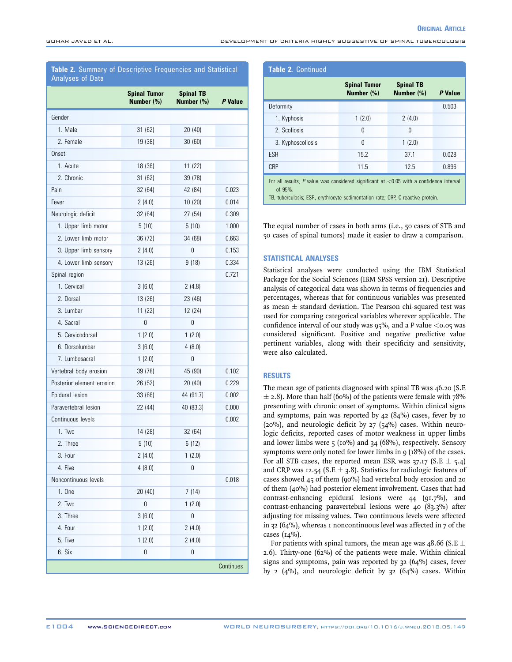**ORIGINAL ARTICLE** 

# <span id="page-4-0"></span>Table 2. Summary of Descriptive Frequencies and Statistical Analyses of Data

|                           | <b>Spinal Tumor</b><br>Number (%) | <b>Spinal TB</b><br>Number (%) | P Value   |
|---------------------------|-----------------------------------|--------------------------------|-----------|
| Gender                    |                                   |                                |           |
| 1. Male                   | 31(62)                            | 20 (40)                        |           |
| 2. Female                 | 19 (38)                           | 30 (60)                        |           |
| Onset                     |                                   |                                |           |
| 1. Acute                  | 18(36)                            | 11(22)                         |           |
| 2. Chronic                | 31 (62)                           | 39 (78)                        |           |
| Pain                      | 32 (64)                           | 42 (84)                        | 0.023     |
| Fever                     | 2(4.0)                            | 10(20)                         | 0.014     |
| Neurologic deficit        | 32 (64)                           | 27 (54)                        | 0.309     |
| 1. Upper limb motor       | 5(10)                             | 5(10)                          | 1.000     |
| 2. Lower limb motor       | 36 (72)                           | 34 (68)                        | 0.663     |
| 3. Upper limb sensory     | 2(4.0)                            | 0                              | 0.153     |
| 4. Lower limb sensory     | 13 (26)                           | 9(18)                          | 0.334     |
| Spinal region             |                                   |                                | 0.721     |
| 1. Cervical               | 3(6.0)                            | 2(4.8)                         |           |
| 2. Dorsal                 | 13 (26)                           | 23 (46)                        |           |
| 3. Lumbar                 | 11(22)                            | 12 (24)                        |           |
| 4. Sacral                 | 0                                 | 0                              |           |
| 5. Cervicodorsal          | 1(2.0)                            | 1(2.0)                         |           |
| 6. Dorsolumbar            | 3(6.0)                            | 4(8.0)                         |           |
| 7. Lumbosacral            | 1(2.0)                            | 0                              |           |
| Vertebral body erosion    | 39 (78)                           | 45 (90)                        | 0.102     |
| Posterior element erosion | 26 (52)                           | 20(40)                         | 0.229     |
| Epidural lesion           | 33 (66)                           | 44 (91.7)                      | 0.002     |
| Paravertebral lesion      | 22 (44)                           | 40 (83.3)                      | 0.000     |
| Continuous levels         |                                   |                                | 0.002     |
| 1. Two                    | 14 (28)                           | 32 (64)                        |           |
| 2. Three                  | 5(10)                             | 6(12)                          |           |
| 3. Four                   | 2(4.0)                            | 1(2.0)                         |           |
| 4. Five                   | 4(8.0)                            | 0                              |           |
| Noncontinuous levels      |                                   |                                | 0.018     |
| 1. One                    | 20 (40)                           | 7(14)                          |           |
| 2. Two                    | 0                                 | 1(2.0)                         |           |
| 3. Three                  | 3(6.0)                            | 0                              |           |
| 4. Four                   | 1(2.0)                            | 2(4.0)                         |           |
| 5. Five                   | 1(2.0)                            | 2(4.0)                         |           |
| 6. Six                    | 0                                 | 0                              |           |
|                           |                                   |                                | Continues |

| <b>Table 2. Continued</b>                                                                                                                                                                     |                                      |                                |         |  |  |
|-----------------------------------------------------------------------------------------------------------------------------------------------------------------------------------------------|--------------------------------------|--------------------------------|---------|--|--|
|                                                                                                                                                                                               | <b>Spinal Tumor</b><br>Number $(\%)$ | <b>Spinal TB</b><br>Number (%) | P Value |  |  |
| Deformity                                                                                                                                                                                     |                                      |                                | 0.503   |  |  |
| 1. Kyphosis                                                                                                                                                                                   | 1(2.0)                               | 2(4.0)                         |         |  |  |
| 2. Scoliosis                                                                                                                                                                                  | $\Omega$                             | 0                              |         |  |  |
| 3. Kyphoscoliosis                                                                                                                                                                             | $\Omega$                             | 1(2.0)                         |         |  |  |
| <b>ESR</b>                                                                                                                                                                                    | 15.2                                 | 37.1                           | 0.028   |  |  |
| <b>CRP</b>                                                                                                                                                                                    | 11.5                                 | 12.5                           | 0.896   |  |  |
| For all results, $P$ value was considered significant at $< 0.05$ with a confidence interval<br>of $95%$ .<br>TB, tuberculosis; ESR, erythrocyte sedimentation rate; CRP, C-reactive protein. |                                      |                                |         |  |  |

The equal number of cases in both arms (i.e., 50 cases of STB and 50 cases of spinal tumors) made it easier to draw a comparison.

### STATISTICAL ANALYSES

Statistical analyses were conducted using the IBM Statistical Package for the Social Sciences (IBM SPSS version 21). Descriptive analysis of categorical data was shown in terms of frequencies and percentages, whereas that for continuous variables was presented as mean  $\pm$  standard deviation. The Pearson chi-squared test was used for comparing categorical variables wherever applicable. The confidence interval of our study was  $95\%$ , and a P value  $\lt$  0.05 was considered significant. Positive and negative predictive value pertinent variables, along with their specificity and sensitivity, were also calculated.

# RESULTS

The mean age of patients diagnosed with spinal TB was 46.20 (S.E  $\pm$  2.8). More than half (60%) of the patients were female with 78% presenting with chronic onset of symptoms. Within clinical signs and symptoms, pain was reported by 42 (84%) cases, fever by 10 (20%), and neurologic deficit by 27 (54%) cases. Within neurologic deficits, reported cases of motor weakness in upper limbs and lower limbs were 5 (10%) and 34 (68%), respectively. Sensory symptoms were only noted for lower limbs in 9 (18%) of the cases. For all STB cases, the reported mean ESR was  $37.17$  (S.E  $\pm$  5.4) and CRP was 12.54 (S.E  $\pm$  3.8). Statistics for radiologic features of cases showed 45 of them (90%) had vertebral body erosion and 20 of them (40%) had posterior element involvement. Cases that had contrast-enhancing epidural lesions were 44 (91.7%), and contrast-enhancing paravertebral lesions were 40 (83.3%) after adjusting for missing values. Two continuous levels were affected in 32 (64%), whereas 1 noncontinuous level was affected in 7 of the cases (14%).

For patients with spinal tumors, the mean age was 48.66 (S.E  $\pm$ 2.6). Thirty-one (62%) of the patients were male. Within clinical signs and symptoms, pain was reported by 32 (64%) cases, fever by 2  $(4\%)$ , and neurologic deficit by 32  $(64\%)$  cases. Within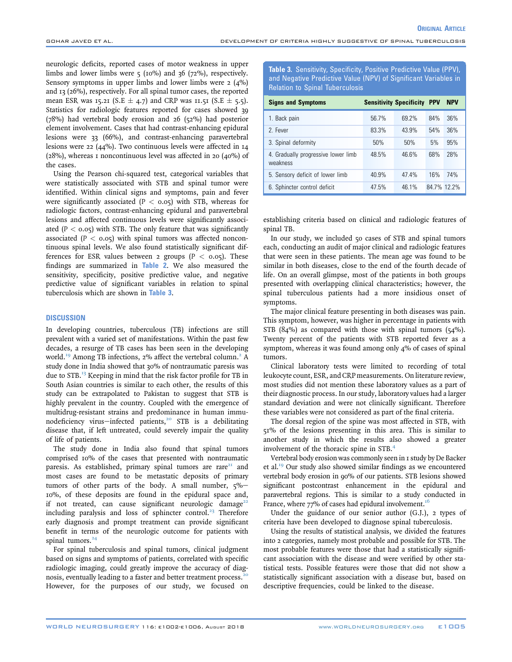neurologic deficits, reported cases of motor weakness in upper limbs and lower limbs were  $\zeta$  (10%) and 36 (72%), respectively. Sensory symptoms in upper limbs and lower limbs were  $2 \left(4\% \right)$ and 13 (26%), respectively. For all spinal tumor cases, the reported mean ESR was 15.21 (S.E  $\pm$  4.7) and CRP was 11.51 (S.E  $\pm$  5.5). Statistics for radiologic features reported for cases showed 39 (78%) had vertebral body erosion and 26 (52%) had posterior element involvement. Cases that had contrast-enhancing epidural lesions were 33 (66%), and contrast-enhancing paravertebral lesions were 22 (44%). Two continuous levels were affected in 14 (28%), whereas 1 noncontinuous level was affected in 20 (40%) of the cases.

Using the Pearson chi-squared test, categorical variables that were statistically associated with STB and spinal tumor were identified. Within clinical signs and symptoms, pain and fever were significantly associated ( $P < 0.05$ ) with STB, whereas for radiologic factors, contrast-enhancing epidural and paravertebral lesions and affected continuous levels were significantly associated  $(P < 0.05)$  with STB. The only feature that was significantly associated ( $P < 0.05$ ) with spinal tumors was affected noncontinuous spinal levels. We also found statistically significant differences for ESR values between 2 groups ( $P < 0.05$ ). These findings are summarized in [Table 2](#page-4-0). We also measured the sensitivity, specificity, positive predictive value, and negative predictive value of significant variables in relation to spinal tuberculosis which are shown in Table 3.

### **DISCUSSION**

In developing countries, tuberculous (TB) infections are still prevalent with a varied set of manifestations. Within the past few decades, a resurge of TB cases has been seen in the developing world.<sup>[19](#page-6-0)</sup> Among TB infections, [2](#page-6-0)% affect the vertebral column.<sup>2</sup> A study done in India showed that 30% of nontraumatic paresis was due to STB[.13](#page-6-0) Keeping in mind that the risk factor profile for TB in South Asian countries is similar to each other, the results of this study can be extrapolated to Pakistan to suggest that STB is highly prevalent in the country. Coupled with the emergence of multidrug-resistant strains and predominance in human immu-nodeficiency virus—infected patients,<sup>[20](#page-6-0)</sup> STB is a debilitating disease that, if left untreated, could severely impair the quality of life of patients.

The study done in India also found that spinal tumors comprised 10% of the cases that presented with nontraumatic paresis. As established, primary spinal tumors are rare $21$  and most cases are found to be metastatic deposits of primary tumors of other parts of the body. A small number,  $\zeta\%$ -10%, of these deposits are found in the epidural space and, if not treated, can cause significant neurologic damage<sup>[22](#page-6-0)</sup> including paralysis and loss of sphincter control.<sup>[23](#page-6-0)</sup> Therefore early diagnosis and prompt treatment can provide significant benefit in terms of the neurologic outcome for patients with spinal tumors.<sup>[24](#page-6-0)</sup>

For spinal tuberculosis and spinal tumors, clinical judgment based on signs and symptoms of patients, correlated with specific radiologic imaging, could greatly improve the accuracy of diag-nosis, eventually leading to a faster and better treatment process.<sup>[20](#page-6-0)</sup> However, for the purposes of our study, we focused on

Table 3. Sensitivity, Specificity, Positive Predictive Value (PPV), and Negative Predictive Value (NPV) of Significant Variables in Relation to Spinal Tuberculosis

**ORIGINAL ARTICLE** 

| <b>Signs and Symptoms</b>                       |       | <b>Sensitivity Specificity PPV</b> |             | <b>NPV</b> |
|-------------------------------------------------|-------|------------------------------------|-------------|------------|
| 1. Back pain                                    | 56.7% | 69.2%                              | 84%         | 36%        |
| 2. Fever                                        | 83.3% | 43.9%                              | 54%         | 36%        |
| 3. Spinal deformity                             | 50%   | 50%                                | 5%          | 95%        |
| 4. Gradually progressive lower limb<br>weakness | 48.5% | 46.6%                              | 68%         | 28%        |
| 5. Sensory deficit of lower limb                | 40.9% | 47.4%                              | 16%         | 74%        |
| 6. Sphincter control deficit                    | 47.5% | 46.1%                              | 84.7% 12.2% |            |

establishing criteria based on clinical and radiologic features of spinal TB.

In our study, we included 50 cases of STB and spinal tumors each, conducting an audit of major clinical and radiologic features that were seen in these patients. The mean age was found to be similar in both diseases, close to the end of the fourth decade of life. On an overall glimpse, most of the patients in both groups presented with overlapping clinical characteristics; however, the spinal tuberculous patients had a more insidious onset of symptoms.

The major clinical feature presenting in both diseases was pain. This symptom, however, was higher in percentage in patients with STB (84%) as compared with those with spinal tumors (54%). Twenty percent of the patients with STB reported fever as a symptom, whereas it was found among only 4% of cases of spinal tumors.

Clinical laboratory tests were limited to recording of total leukocyte count, ESR, and CRP measurements. On literature review, most studies did not mention these laboratory values as a part of their diagnostic process. In our study, laboratory values had a larger standard deviation and were not clinically significant. Therefore these variables were not considered as part of the final criteria.

The dorsal region of the spine was most affected in STB, with 51% of the lesions presenting in this area. This is similar to another study in which the results also showed a greater involvement of the thoracic spine in STB.[4](#page-6-0)

Vertebral body erosion was commonly seen in 1 study by De Backer et al.<sup>19</sup> Our study also showed similar findings as we encountered vertebral body erosion in 90% of our patients. STB lesions showed significant postcontrast enhancement in the epidural and paravertebral regions. This is similar to a study conducted in France, where  $77\%$  of cases had epidural involvement.<sup>16</sup>

Under the guidance of our senior author (G.J.), 2 types of criteria have been developed to diagnose spinal tuberculosis.

Using the results of statistical analysis, we divided the features into 2 categories, namely most probable and possible for STB. The most probable features were those that had a statistically significant association with the disease and were verified by other statistical tests. Possible features were those that did not show a statistically significant association with a disease but, based on descriptive frequencies, could be linked to the disease.